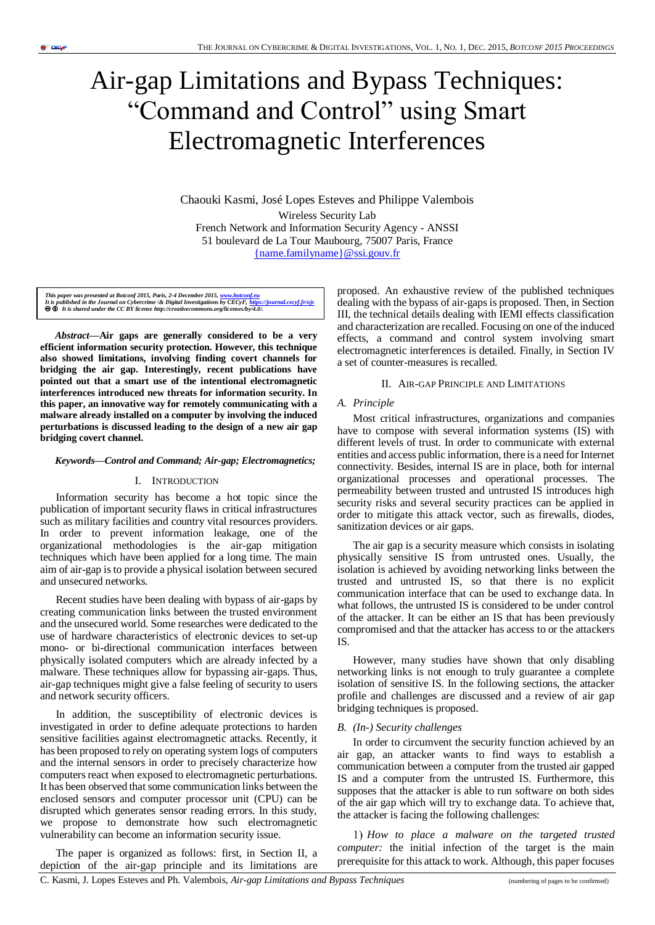# Air-gap Limitations and Bypass Techniques: "Command and Control" using Smart Electromagnetic Interferences

Chaouki Kasmi, José Lopes Esteves and Philippe Valembois Wireless Security Lab French Network and Information Security Agency - ANSSI 51 boulevard de La Tour Maubourg, 75007 Paris, France [{name.familyname}@ssi.gouv.fr](mailto:%7bname.familyname%7d@ssi.gouv.fr)

This paper was presented at Botconf 2015, Paris, 2-4 December 2015, <u>www.botconf.eu</u><br>It is published in the Journal on Cybercrime \& Digital Investigations by CECyF, <u>https://iournal.cecyf.fr/ois</u><br>● **©** It is shared under

*Abstract***—Air gaps are generally considered to be a very efficient information security protection. However, this technique also showed limitations, involving finding covert channels for bridging the air gap. Interestingly, recent publications have pointed out that a smart use of the intentional electromagnetic interferences introduced new threats for information security. In this paper, an innovative way for remotely communicating with a malware already installed on a computer by involving the induced perturbations is discussed leading to the design of a new air gap bridging covert channel.**

# *Keywords—Control and Command; Air-gap; Electromagnetics;*

#### I. INTRODUCTION

Information security has become a hot topic since the publication of important security flaws in critical infrastructures such as military facilities and country vital resources providers. In order to prevent information leakage, one of the organizational methodologies is the air-gap mitigation techniques which have been applied for a long time. The main aim of air-gap is to provide a physical isolation between secured and unsecured networks.

Recent studies have been dealing with bypass of air-gaps by creating communication links between the trusted environment and the unsecured world. Some researches were dedicated to the use of hardware characteristics of electronic devices to set-up mono- or bi-directional communication interfaces between physically isolated computers which are already infected by a malware. These techniques allow for bypassing air-gaps. Thus, air-gap techniques might give a false feeling of security to users and network security officers.

In addition, the susceptibility of electronic devices is investigated in order to define adequate protections to harden sensitive facilities against electromagnetic attacks. Recently, it has been proposed to rely on operating system logs of computers and the internal sensors in order to precisely characterize how computers react when exposed to electromagnetic perturbations. It has been observed that some communication links between the enclosed sensors and computer processor unit (CPU) can be disrupted which generates sensor reading errors. In this study, we propose to demonstrate how such electromagnetic vulnerability can become an information security issue.

The paper is organized as follows: first, in Section II, a depiction of the air-gap principle and its limitations are

proposed. An exhaustive review of the published techniques dealing with the bypass of air-gaps is proposed. Then, in Section III, the technical details dealing with IEMI effects classification and characterization are recalled. Focusing on one of the induced effects, a command and control system involving smart electromagnetic interferences is detailed. Finally, in Section IV a set of counter-measures is recalled.

# II. AIR-GAP PRINCIPLE AND LIMITATIONS

# *A. Principle*

Most critical infrastructures, organizations and companies have to compose with several information systems (IS) with different levels of trust. In order to communicate with external entities and access public information, there is a need for Internet connectivity. Besides, internal IS are in place, both for internal organizational processes and operational processes. The permeability between trusted and untrusted IS introduces high security risks and several security practices can be applied in order to mitigate this attack vector, such as firewalls, diodes, sanitization devices or air gaps.

The air gap is a security measure which consists in isolating physically sensitive IS from untrusted ones. Usually, the isolation is achieved by avoiding networking links between the trusted and untrusted IS, so that there is no explicit communication interface that can be used to exchange data. In what follows, the untrusted IS is considered to be under control of the attacker. It can be either an IS that has been previously compromised and that the attacker has access to or the attackers IS.

However, many studies have shown that only disabling networking links is not enough to truly guarantee a complete isolation of sensitive IS. In the following sections, the attacker profile and challenges are discussed and a review of air gap bridging techniques is proposed.

#### *B. (In-) Security challenges*

In order to circumvent the security function achieved by an air gap, an attacker wants to find ways to establish a communication between a computer from the trusted air gapped IS and a computer from the untrusted IS. Furthermore, this supposes that the attacker is able to run software on both sides of the air gap which will try to exchange data. To achieve that, the attacker is facing the following challenges:

*How to place a malware on the targeted trusted computer:* the initial infection of the target is the main prerequisite for this attack to work. Although, this paper focuses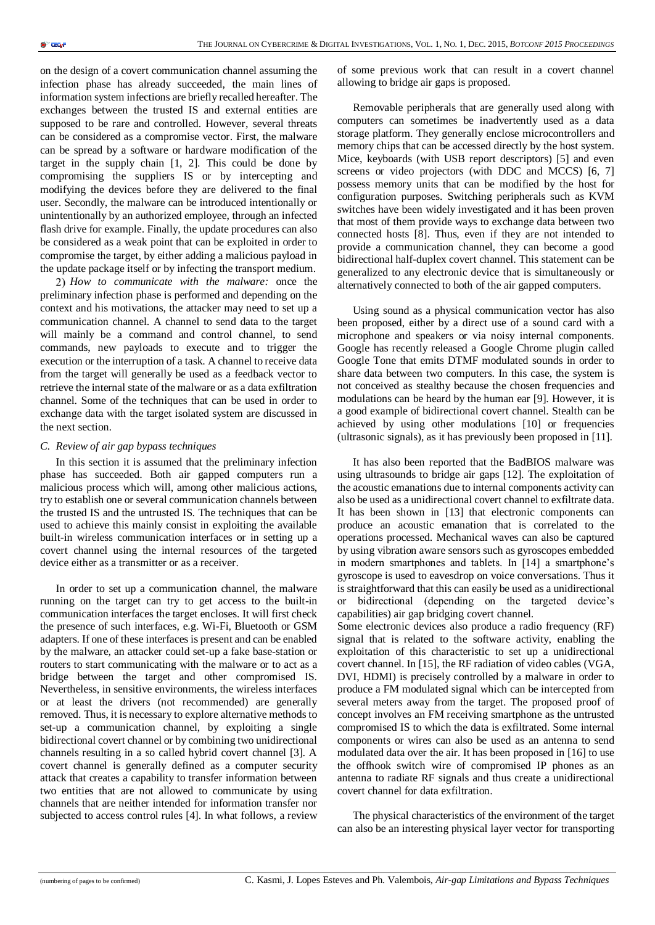on the design of a covert communication channel assuming the infection phase has already succeeded, the main lines of information system infections are briefly recalled hereafter. The exchanges between the trusted IS and external entities are supposed to be rare and controlled. However, several threats can be considered as a compromise vector. First, the malware can be spread by a software or hardware modification of the target in the supply chain [1, 2]. This could be done by compromising the suppliers IS or by intercepting and modifying the devices before they are delivered to the final user. Secondly, the malware can be introduced intentionally or unintentionally by an authorized employee, through an infected flash drive for example. Finally, the update procedures can also be considered as a weak point that can be exploited in order to compromise the target, by either adding a malicious payload in the update package itself or by infecting the transport medium.

*How to communicate with the malware:* once the preliminary infection phase is performed and depending on the context and his motivations, the attacker may need to set up a communication channel. A channel to send data to the target will mainly be a command and control channel, to send commands, new payloads to execute and to trigger the execution or the interruption of a task. A channel to receive data from the target will generally be used as a feedback vector to retrieve the internal state of the malware or as a data exfiltration channel. Some of the techniques that can be used in order to exchange data with the target isolated system are discussed in the next section*.*

#### *C. Review of air gap bypass techniques*

In this section it is assumed that the preliminary infection phase has succeeded. Both air gapped computers run a malicious process which will, among other malicious actions, try to establish one or several communication channels between the trusted IS and the untrusted IS. The techniques that can be used to achieve this mainly consist in exploiting the available built-in wireless communication interfaces or in setting up a covert channel using the internal resources of the targeted device either as a transmitter or as a receiver.

In order to set up a communication channel, the malware running on the target can try to get access to the built-in communication interfaces the target encloses. It will first check the presence of such interfaces, e.g. Wi-Fi, Bluetooth or GSM adapters. If one of these interfaces is present and can be enabled by the malware, an attacker could set-up a fake base-station or routers to start communicating with the malware or to act as a bridge between the target and other compromised IS. Nevertheless, in sensitive environments, the wireless interfaces or at least the drivers (not recommended) are generally removed. Thus, it is necessary to explore alternative methods to set-up a communication channel, by exploiting a single bidirectional covert channel or by combining two unidirectional channels resulting in a so called hybrid covert channel [3]. A covert channel is generally defined as a computer security attack that creates a capability to transfer information between two entities that are not allowed to communicate by using channels that are neither intended for information transfer nor subjected to access control rules [4]. In what follows, a review of some previous work that can result in a covert channel allowing to bridge air gaps is proposed.

Removable peripherals that are generally used along with computers can sometimes be inadvertently used as a data storage platform. They generally enclose microcontrollers and memory chips that can be accessed directly by the host system. Mice, keyboards (with USB report descriptors) [5] and even screens or video projectors (with DDC and MCCS) [6, 7] possess memory units that can be modified by the host for configuration purposes. Switching peripherals such as KVM switches have been widely investigated and it has been proven that most of them provide ways to exchange data between two connected hosts [8]. Thus, even if they are not intended to provide a communication channel, they can become a good bidirectional half-duplex covert channel. This statement can be generalized to any electronic device that is simultaneously or alternatively connected to both of the air gapped computers.

Using sound as a physical communication vector has also been proposed, either by a direct use of a sound card with a microphone and speakers or via noisy internal components. Google has recently released a Google Chrome plugin called Google Tone that emits DTMF modulated sounds in order to share data between two computers. In this case, the system is not conceived as stealthy because the chosen frequencies and modulations can be heard by the human ear [9]. However, it is a good example of bidirectional covert channel. Stealth can be achieved by using other modulations [10] or frequencies (ultrasonic signals), as it has previously been proposed in [11].

It has also been reported that the BadBIOS malware was using ultrasounds to bridge air gaps [12]. The exploitation of the acoustic emanations due to internal components activity can also be used as a unidirectional covert channel to exfiltrate data. It has been shown in [13] that electronic components can produce an acoustic emanation that is correlated to the operations processed. Mechanical waves can also be captured by using vibration aware sensors such as gyroscopes embedded in modern smartphones and tablets. In [14] a smartphone's gyroscope is used to eavesdrop on voice conversations. Thus it is straightforward that this can easily be used as a unidirectional or bidirectional (depending on the targeted device's capabilities) air gap bridging covert channel. Some electronic devices also produce a radio frequency (RF)

signal that is related to the software activity, enabling the exploitation of this characteristic to set up a unidirectional covert channel. In [15], the RF radiation of video cables (VGA, DVI, HDMI) is precisely controlled by a malware in order to produce a FM modulated signal which can be intercepted from several meters away from the target. The proposed proof of concept involves an FM receiving smartphone as the untrusted compromised IS to which the data is exfiltrated. Some internal components or wires can also be used as an antenna to send modulated data over the air. It has been proposed in [16] to use the offhook switch wire of compromised IP phones as an antenna to radiate RF signals and thus create a unidirectional covert channel for data exfiltration.

The physical characteristics of the environment of the target can also be an interesting physical layer vector for transporting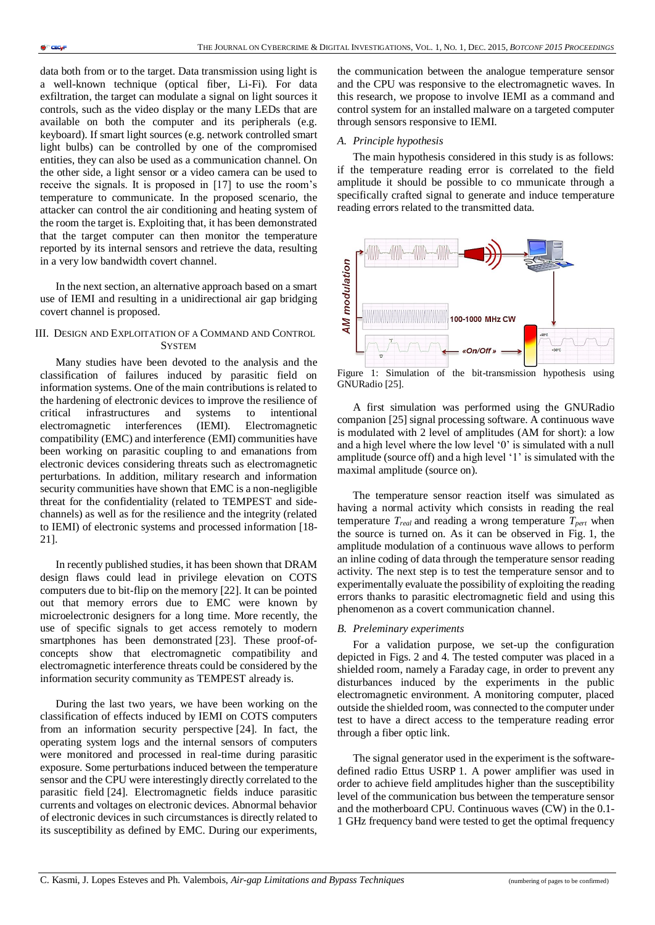data both from or to the target. Data transmission using light is a well-known technique (optical fiber, Li-Fi). For data exfiltration, the target can modulate a signal on light sources it controls, such as the video display or the many LEDs that are available on both the computer and its peripherals (e.g. keyboard). If smart light sources (e.g. network controlled smart light bulbs) can be controlled by one of the compromised entities, they can also be used as a communication channel. On the other side, a light sensor or a video camera can be used to receive the signals. It is proposed in [17] to use the room's temperature to communicate. In the proposed scenario, the attacker can control the air conditioning and heating system of the room the target is. Exploiting that, it has been demonstrated that the target computer can then monitor the temperature reported by its internal sensors and retrieve the data, resulting in a very low bandwidth covert channel.

In the next section, an alternative approach based on a smart use of IEMI and resulting in a unidirectional air gap bridging covert channel is proposed.

# III. DESIGN AND EXPLOITATION OF A COMMAND AND CONTROL **SYSTEM**

Many studies have been devoted to the analysis and the classification of failures induced by parasitic field on information systems. One of the main contributions is related to the hardening of electronic devices to improve the resilience of critical infrastructures and systems to intentional electromagnetic interferences (IEMI). Electromagnetic compatibility (EMC) and interference (EMI) communities have been working on parasitic coupling to and emanations from electronic devices considering threats such as electromagnetic perturbations. In addition, military research and information security communities have shown that EMC is a non-negligible threat for the confidentiality (related to TEMPEST and sidechannels) as well as for the resilience and the integrity (related to IEMI) of electronic systems and processed information [18- 21].

In recently published studies, it has been shown that DRAM design flaws could lead in privilege elevation on COTS computers due to bit-flip on the memory [22]. It can be pointed out that memory errors due to EMC were known by microelectronic designers for a long time. More recently, the use of specific signals to get access remotely to modern smartphones has been demonstrated [23]. These proof-ofconcepts show that electromagnetic compatibility and electromagnetic interference threats could be considered by the information security community as TEMPEST already is.

During the last two years, we have been working on the classification of effects induced by IEMI on COTS computers from an information security perspective [24]. In fact, the operating system logs and the internal sensors of computers were monitored and processed in real-time during parasitic exposure. Some perturbations induced between the temperature sensor and the CPU were interestingly directly correlated to the parasitic field [24]. Electromagnetic fields induce parasitic currents and voltages on electronic devices. Abnormal behavior of electronic devices in such circumstances is directly related to its susceptibility as defined by EMC. During our experiments,

the communication between the analogue temperature sensor and the CPU was responsive to the electromagnetic waves. In this research, we propose to involve IEMI as a command and control system for an installed malware on a targeted computer through sensors responsive to IEMI.

# *A. Principle hypothesis*

The main hypothesis considered in this study is as follows: if the temperature reading error is correlated to the field amplitude it should be possible to co mmunicate through a specifically crafted signal to generate and induce temperature reading errors related to the transmitted data.



Figure 1: Simulation of the bit-transmission hypothesis using GNURadio [25].

A first simulation was performed using the GNURadio companion [25] signal processing software. A continuous wave is modulated with 2 level of amplitudes (AM for short): a low and a high level where the low level '0' is simulated with a null amplitude (source off) and a high level '1' is simulated with the maximal amplitude (source on).

The temperature sensor reaction itself was simulated as having a normal activity which consists in reading the real temperature  $T_{real}$  and reading a wrong temperature  $T_{pert}$  when the source is turned on. As it can be observed in Fig. 1, the amplitude modulation of a continuous wave allows to perform an inline coding of data through the temperature sensor reading activity. The next step is to test the temperature sensor and to experimentally evaluate the possibility of exploiting the reading errors thanks to parasitic electromagnetic field and using this phenomenon as a covert communication channel.

# *B. Preleminary experiments*

For a validation purpose, we set-up the configuration depicted in Figs. 2 and 4. The tested computer was placed in a shielded room, namely a Faraday cage, in order to prevent any disturbances induced by the experiments in the public electromagnetic environment. A monitoring computer, placed outside the shielded room, was connected to the computer under test to have a direct access to the temperature reading error through a fiber optic link.

The signal generator used in the experiment is the softwaredefined radio Ettus USRP 1. A power amplifier was used in order to achieve field amplitudes higher than the susceptibility level of the communication bus between the temperature sensor and the motherboard CPU. Continuous waves (CW) in the 0.1- 1 GHz frequency band were tested to get the optimal frequency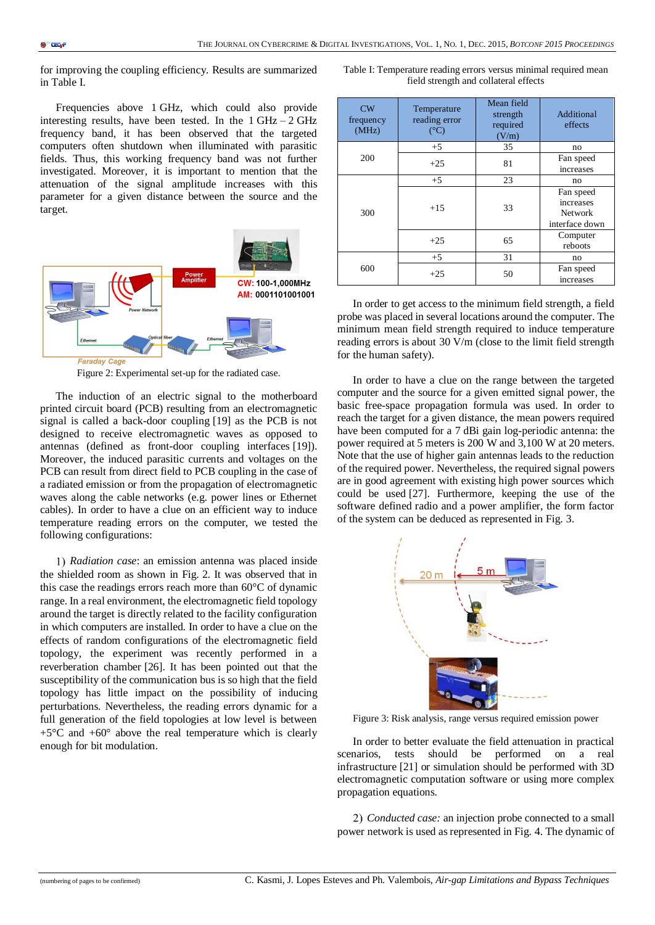for improving the coupling efficiency. Results are summarized in Table I.

Frequencies above 1 GHz, which could also provide interesting results, have been tested. In the  $1 \text{ GHz} - 2 \text{ GHz}$ frequency band, it has been observed that the targeted computers often shutdown when illuminated with parasitic fields. Thus, this working frequency band was not further investigated. Moreover, it is important to mention that the attenuation of the signal amplitude increases with this parameter for a given distance between the source and the target.



Figure 2: Experimental set-up for the radiated case.

The induction of an electric signal to the motherboard printed circuit board (PCB) resulting from an electromagnetic signal is called a back-door coupling [19] as the PCB is not designed to receive electromagnetic waves as opposed to antennas (defined as front-door coupling interfaces [19]). Moreover, the induced parasitic currents and voltages on the PCB can result from direct field to PCB coupling in the case of a radiated emission or from the propagation of electromagnetic waves along the cable networks (e.g. power lines or Ethernet cables). In order to have a clue on an efficient way to induce temperature reading errors on the computer, we tested the following configurations:

*Radiation case*: an emission antenna was placed inside the shielded room as shown in Fig. 2. It was observed that in this case the readings errors reach more than 60°C of dynamic range. In a real environment, the electromagnetic field topology around the target is directly related to the facility configuration in which computers are installed. In order to have a clue on the effects of random configurations of the electromagnetic field topology, the experiment was recently performed in a reverberation chamber [26]. It has been pointed out that the susceptibility of the communication bus is so high that the field topology has little impact on the possibility of inducing perturbations. Nevertheless, the reading errors dynamic for a full generation of the field topologies at low level is between +5°C and +60° above the real temperature which is clearly enough for bit modulation.

Table I: Temperature reading errors versus minimal required mean field strength and collateral effects

| CW<br>frequency<br>(MHz) | Temperature<br>reading error<br>$(^{\circ}C)$ | Mean field<br>strength<br>required<br>(V/m) | Additional<br>effects                                      |
|--------------------------|-----------------------------------------------|---------------------------------------------|------------------------------------------------------------|
| 200                      | $+5$                                          | 35                                          | no                                                         |
|                          | $+25$                                         | 81                                          | Fan speed<br>increases                                     |
| 300                      | $+5$                                          | 23                                          | no                                                         |
|                          | $+1.5$                                        | 33                                          | Fan speed<br>increases<br><b>Network</b><br>interface down |
|                          | $+25$                                         | 65                                          | Computer<br>reboots                                        |
| 600                      | $+5$                                          | 31                                          | no                                                         |
|                          | $+25$                                         | 50                                          | Fan speed<br>increases                                     |

In order to get access to the minimum field strength, a field probe was placed in several locations around the computer. The minimum mean field strength required to induce temperature reading errors is about 30 V/m (close to the limit field strength for the human safety).

In order to have a clue on the range between the targeted computer and the source for a given emitted signal power, the basic free-space propagation formula was used. In order to reach the target for a given distance, the mean powers required have been computed for a 7 dBi gain log-periodic antenna: the power required at 5 meters is 200 W and 3,100 W at 20 meters. Note that the use of higher gain antennas leads to the reduction of the required power. Nevertheless, the required signal powers are in good agreement with existing high power sources which could be used [27]. Furthermore, keeping the use of the software defined radio and a power amplifier, the form factor of the system can be deduced as represented in Fig. 3.



Figure 3: Risk analysis, range versus required emission power

In order to better evaluate the field attenuation in practical scenarios, tests should be performed on a real infrastructure [21] or simulation should be performed with 3D electromagnetic computation software or using more complex propagation equations.

*Conducted case:* an injection probe connected to a small power network is used as represented in Fig. 4. The dynamic of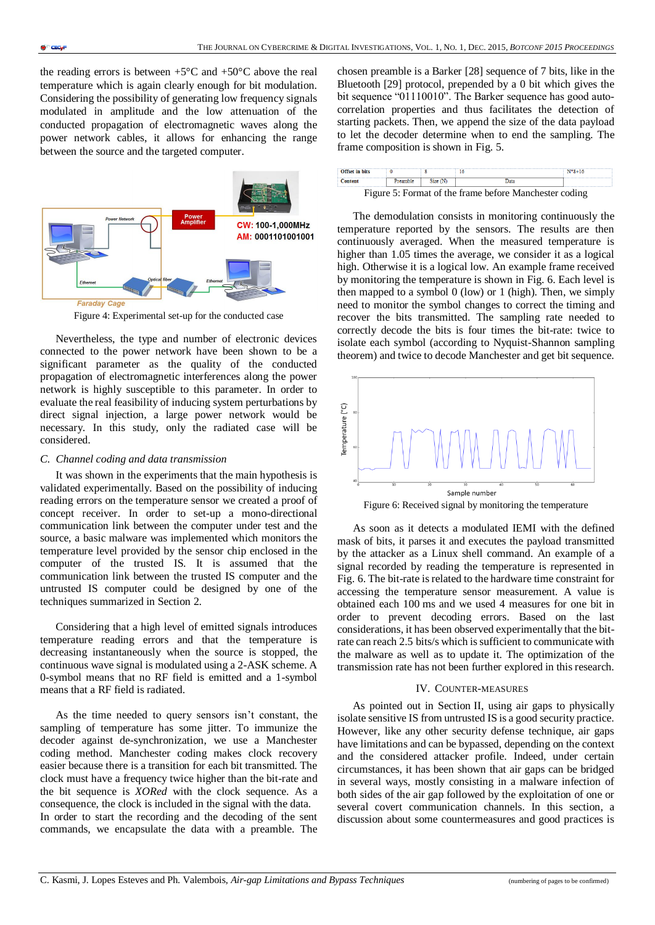the reading errors is between  $+5^{\circ}$ C and  $+50^{\circ}$ C above the real temperature which is again clearly enough for bit modulation. Considering the possibility of generating low frequency signals modulated in amplitude and the low attenuation of the conducted propagation of electromagnetic waves along the power network cables, it allows for enhancing the range between the source and the targeted computer.



Figure 4: Experimental set-up for the conducted case

Nevertheless, the type and number of electronic devices connected to the power network have been shown to be a significant parameter as the quality of the conducted propagation of electromagnetic interferences along the power network is highly susceptible to this parameter. In order to evaluate the real feasibility of inducing system perturbations by direct signal injection, a large power network would be necessary. In this study, only the radiated case will be considered.

#### *C. Channel coding and data transmission*

It was shown in the experiments that the main hypothesis is validated experimentally. Based on the possibility of inducing reading errors on the temperature sensor we created a proof of concept receiver. In order to set-up a mono-directional communication link between the computer under test and the source, a basic malware was implemented which monitors the temperature level provided by the sensor chip enclosed in the computer of the trusted IS. It is assumed that the communication link between the trusted IS computer and the untrusted IS computer could be designed by one of the techniques summarized in Section 2.

Considering that a high level of emitted signals introduces temperature reading errors and that the temperature is decreasing instantaneously when the source is stopped, the continuous wave signal is modulated using a 2-ASK scheme. A 0-symbol means that no RF field is emitted and a 1-symbol means that a RF field is radiated.

As the time needed to query sensors isn't constant, the sampling of temperature has some jitter. To immunize the decoder against de-synchronization, we use a Manchester coding method. Manchester coding makes clock recovery easier because there is a transition for each bit transmitted. The clock must have a frequency twice higher than the bit-rate and the bit sequence is *XORed* with the clock sequence. As a consequence, the clock is included in the signal with the data. In order to start the recording and the decoding of the sent commands, we encapsulate the data with a preamble. The

chosen preamble is a Barker [28] sequence of 7 bits, like in the Bluetooth [29] protocol, prepended by a 0 bit which gives the bit sequence "01110010". The Barker sequence has good autocorrelation properties and thus facilitates the detection of starting packets. Then, we append the size of the data payload to let the decoder determine when to end the sampling. The frame composition is shown in Fig. 5.

| Offset in hits                                         |  |         |  |  |  |
|--------------------------------------------------------|--|---------|--|--|--|
| <b>Content</b>                                         |  | Size(N) |  |  |  |
| Figure 5: Format of the frame before Manchester coding |  |         |  |  |  |

Figure 5: Format of the frame before Manchester coding

The demodulation consists in monitoring continuously the temperature reported by the sensors. The results are then continuously averaged. When the measured temperature is higher than 1.05 times the average, we consider it as a logical high. Otherwise it is a logical low. An example frame received by monitoring the temperature is shown in Fig. 6. Each level is then mapped to a symbol  $0$  (low) or 1 (high). Then, we simply need to monitor the symbol changes to correct the timing and recover the bits transmitted. The sampling rate needed to correctly decode the bits is four times the bit-rate: twice to isolate each symbol (according to Nyquist-Shannon sampling theorem) and twice to decode Manchester and get bit sequence.



Figure 6: Received signal by monitoring the temperature

As soon as it detects a modulated IEMI with the defined mask of bits, it parses it and executes the payload transmitted by the attacker as a Linux shell command. An example of a signal recorded by reading the temperature is represented in Fig. 6. The bit-rate is related to the hardware time constraint for accessing the temperature sensor measurement. A value is obtained each 100 ms and we used 4 measures for one bit in order to prevent decoding errors. Based on the last considerations, it has been observed experimentally that the bitrate can reach 2.5 bits/s which is sufficient to communicate with the malware as well as to update it. The optimization of the transmission rate has not been further explored in this research.

#### IV. COUNTER-MEASURES

As pointed out in Section II, using air gaps to physically isolate sensitive IS from untrusted IS is a good security practice. However, like any other security defense technique, air gaps have limitations and can be bypassed, depending on the context and the considered attacker profile. Indeed, under certain circumstances, it has been shown that air gaps can be bridged in several ways, mostly consisting in a malware infection of both sides of the air gap followed by the exploitation of one or several covert communication channels. In this section, a discussion about some countermeasures and good practices is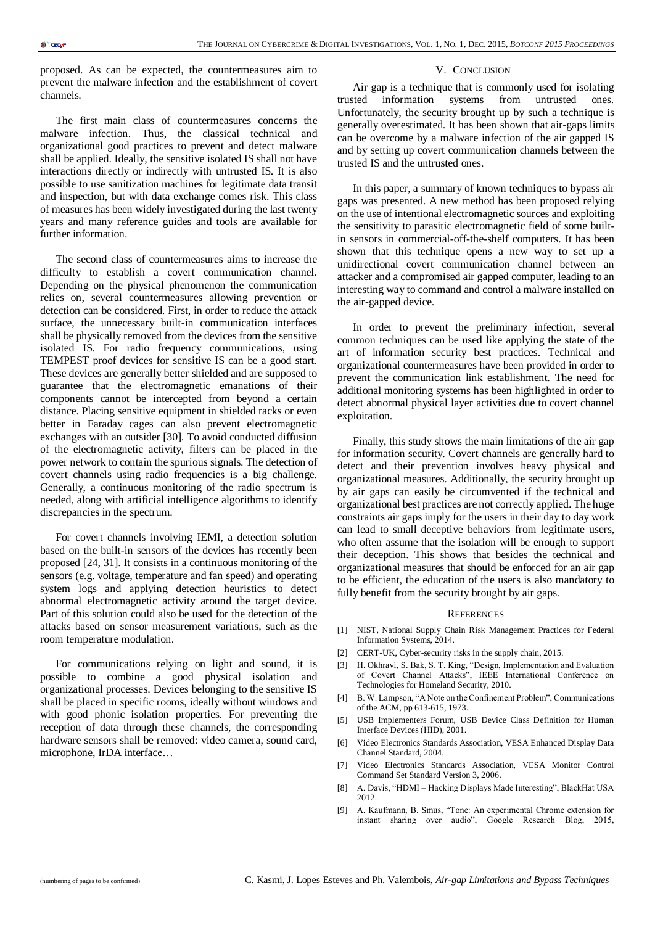proposed. As can be expected, the countermeasures aim to prevent the malware infection and the establishment of covert channels.

The first main class of countermeasures concerns the malware infection. Thus, the classical technical and organizational good practices to prevent and detect malware shall be applied. Ideally, the sensitive isolated IS shall not have interactions directly or indirectly with untrusted IS. It is also possible to use sanitization machines for legitimate data transit and inspection, but with data exchange comes risk. This class of measures has been widely investigated during the last twenty years and many reference guides and tools are available for further information.

The second class of countermeasures aims to increase the difficulty to establish a covert communication channel. Depending on the physical phenomenon the communication relies on, several countermeasures allowing prevention or detection can be considered. First, in order to reduce the attack surface, the unnecessary built-in communication interfaces shall be physically removed from the devices from the sensitive isolated IS. For radio frequency communications, using TEMPEST proof devices for sensitive IS can be a good start. These devices are generally better shielded and are supposed to guarantee that the electromagnetic emanations of their components cannot be intercepted from beyond a certain distance. Placing sensitive equipment in shielded racks or even better in Faraday cages can also prevent electromagnetic exchanges with an outsider [30]. To avoid conducted diffusion of the electromagnetic activity, filters can be placed in the power network to contain the spurious signals. The detection of covert channels using radio frequencies is a big challenge. Generally, a continuous monitoring of the radio spectrum is needed, along with artificial intelligence algorithms to identify discrepancies in the spectrum.

For covert channels involving IEMI, a detection solution based on the built-in sensors of the devices has recently been proposed [24, 31]. It consists in a continuous monitoring of the sensors (e.g. voltage, temperature and fan speed) and operating system logs and applying detection heuristics to detect abnormal electromagnetic activity around the target device. Part of this solution could also be used for the detection of the attacks based on sensor measurement variations, such as the room temperature modulation.

For communications relying on light and sound, it is possible to combine a good physical isolation and organizational processes. Devices belonging to the sensitive IS shall be placed in specific rooms, ideally without windows and with good phonic isolation properties. For preventing the reception of data through these channels, the corresponding hardware sensors shall be removed: video camera, sound card, microphone, IrDA interface…

#### V. CONCLUSION

Air gap is a technique that is commonly used for isolating trusted information systems from untrusted ones. Unfortunately, the security brought up by such a technique is generally overestimated. It has been shown that air-gaps limits can be overcome by a malware infection of the air gapped IS and by setting up covert communication channels between the trusted IS and the untrusted ones.

In this paper, a summary of known techniques to bypass air gaps was presented. A new method has been proposed relying on the use of intentional electromagnetic sources and exploiting the sensitivity to parasitic electromagnetic field of some builtin sensors in commercial-off-the-shelf computers. It has been shown that this technique opens a new way to set up a unidirectional covert communication channel between an attacker and a compromised air gapped computer, leading to an interesting way to command and control a malware installed on the air-gapped device.

In order to prevent the preliminary infection, several common techniques can be used like applying the state of the art of information security best practices. Technical and organizational countermeasures have been provided in order to prevent the communication link establishment. The need for additional monitoring systems has been highlighted in order to detect abnormal physical layer activities due to covert channel exploitation.

Finally, this study shows the main limitations of the air gap for information security. Covert channels are generally hard to detect and their prevention involves heavy physical and organizational measures. Additionally, the security brought up by air gaps can easily be circumvented if the technical and organizational best practices are not correctly applied. The huge constraints air gaps imply for the users in their day to day work can lead to small deceptive behaviors from legitimate users, who often assume that the isolation will be enough to support their deception. This shows that besides the technical and organizational measures that should be enforced for an air gap to be efficient, the education of the users is also mandatory to fully benefit from the security brought by air gaps.

#### **REFERENCES**

- [1] NIST, National Supply Chain Risk Management Practices for Federal Information Systems, 2014.
- [2] CERT-UK, Cyber-security risks in the supply chain, 2015.
- [3] H. Okhravi, S. Bak, S. T. King, "Design, Implementation and Evaluation of Covert Channel Attacks", IEEE International Conference on Technologies for Homeland Security, 2010.
- [4] B. W. Lampson, "A Note on the Confinement Problem", Communications of the ACM, pp 613-615, 1973.
- [5] USB Implementers Forum, USB Device Class Definition for Human Interface Devices (HID), 2001.
- [6] Video Electronics Standards Association, VESA Enhanced Display Data Channel Standard, 2004.
- [7] Video Electronics Standards Association, VESA Monitor Control Command Set Standard Version 3, 2006.
- [8] A. Davis, "HDMI Hacking Displays Made Interesting", BlackHat USA 2012.
- [9] A. Kaufmann, B. Smus, "Tone: An experimental Chrome extension for instant sharing over audio", Google Research Blog, 2015,